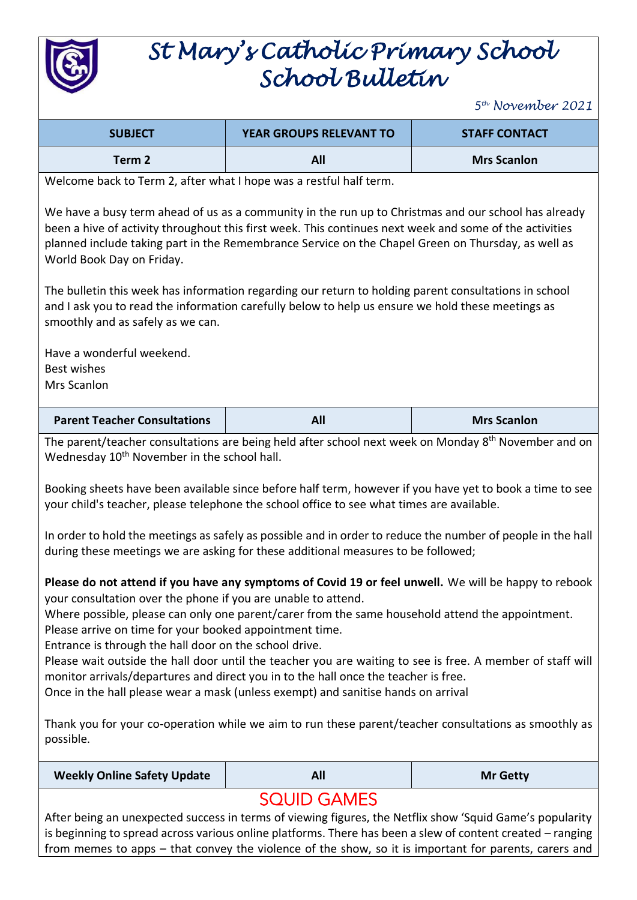

## *St Mary's Catholic Primary School School Bulletin*

*5 th November 2021*

| <b>SUBJECT</b> | <b>YEAR GROUPS RELEVANT TO</b> | <b>STAFF CONTACT</b> |
|----------------|--------------------------------|----------------------|
| Term 2         | All                            | <b>Mrs Scanlon</b>   |

Welcome back to Term 2, after what I hope was a restful half term.

We have a busy term ahead of us as a community in the run up to Christmas and our school has already been a hive of activity throughout this first week. This continues next week and some of the activities planned include taking part in the Remembrance Service on the Chapel Green on Thursday, as well as World Book Day on Friday.

The bulletin this week has information regarding our return to holding parent consultations in school and I ask you to read the information carefully below to help us ensure we hold these meetings as smoothly and as safely as we can.

Have a wonderful weekend. Best wishes Mrs Scanlon

| <b>Parent Teacher Consultations</b> | All | <b>Mrs Scanlon</b> |
|-------------------------------------|-----|--------------------|
|-------------------------------------|-----|--------------------|

The parent/teacher consultations are being held after school next week on Monday 8<sup>th</sup> November and on Wednesday 10<sup>th</sup> November in the school hall.

Booking sheets have been available since before half term, however if you have yet to book a time to see your child's teacher, please telephone the school office to see what times are available.

In order to hold the meetings as safely as possible and in order to reduce the number of people in the hall during these meetings we are asking for these additional measures to be followed;

**Please do not attend if you have any symptoms of Covid 19 or feel unwell.** We will be happy to rebook your consultation over the phone if you are unable to attend.

Where possible, please can only one parent/carer from the same household attend the appointment.

Please arrive on time for your booked appointment time.

Entrance is through the hall door on the school drive.

Please wait outside the hall door until the teacher you are waiting to see is free. A member of staff will monitor arrivals/departures and direct you in to the hall once the teacher is free.

Once in the hall please wear a mask (unless exempt) and sanitise hands on arrival

Thank you for your co-operation while we aim to run these parent/teacher consultations as smoothly as possible.

**Weekly Online Safety Update All All All Mr Getty** 

## SQUID GAMES

After being an unexpected success in terms of viewing figures, the Netflix show 'Squid Game's popularity is beginning to spread across various online platforms. There has been a slew of content created – ranging from memes to apps – that convey the violence of the show, so it is important for parents, carers and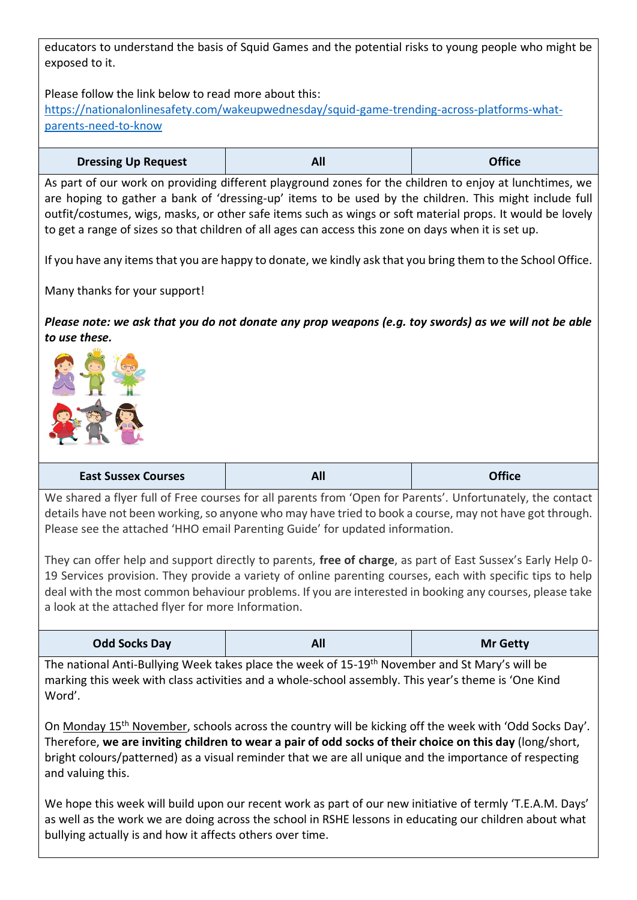educators to understand the basis of Squid Games and the potential risks to young people who might be exposed to it.

Please follow the link below to read more about this: [https://nationalonlinesafety.com/wakeupwednesday/squid-game-trending-across-platforms-what](https://nationalonlinesafety.com/wakeupwednesday/squid-game-trending-across-platforms-what-parents-need-to-know)[parents-need-to-know](https://nationalonlinesafety.com/wakeupwednesday/squid-game-trending-across-platforms-what-parents-need-to-know)

| <b>Dressing Up Request</b> | All<br>- --- | <b>Office</b> |
|----------------------------|--------------|---------------|
|----------------------------|--------------|---------------|

As part of our work on providing different playground zones for the children to enjoy at lunchtimes, we are hoping to gather a bank of 'dressing-up' items to be used by the children. This might include full outfit/costumes, wigs, masks, or other safe items such as wings or soft material props. It would be lovely to get a range of sizes so that children of all ages can access this zone on days when it is set up.

If you have any items that you are happy to donate, we kindly ask that you bring them to the School Office.

Many thanks for your support!

*Please note: we ask that you do not donate any prop weapons (e.g. toy swords) as we will not be able to use these.*



| <b>East Sussex Courses</b> | ומ<br>$\mathbf{H}$ | <b>Office</b> |
|----------------------------|--------------------|---------------|
|                            |                    |               |

We shared a flyer full of Free courses for all parents from 'Open for Parents'. Unfortunately, the contact details have not been working, so anyone who may have tried to book a course, may not have got through. Please see the attached 'HHO email Parenting Guide' for updated information.

They can offer help and support directly to parents, **free of charge**, as part of East Sussex's Early Help 0- 19 Services provision. They provide a variety of online parenting courses, each with specific tips to help deal with the most common behaviour problems. If you are interested in booking any courses, please take a look at the attached flyer for more Information.

| <b>Odd Socks Day</b><br>All<br><b>Mr Getty</b> |
|------------------------------------------------|
|------------------------------------------------|

The national Anti-Bullying Week takes place the week of 15-19<sup>th</sup> November and St Mary's will be marking this week with class activities and a whole-school assembly. This year's theme is 'One Kind Word'.

On Monday 15<sup>th</sup> November, schools across the country will be kicking off the week with 'Odd Socks Day'. Therefore, **we are inviting children to wear a pair of odd socks of their choice on this day** (long/short, bright colours/patterned) as a visual reminder that we are all unique and the importance of respecting and valuing this.

We hope this week will build upon our recent work as part of our new initiative of termly 'T.E.A.M. Days' as well as the work we are doing across the school in RSHE lessons in educating our children about what bullying actually is and how it affects others over time.